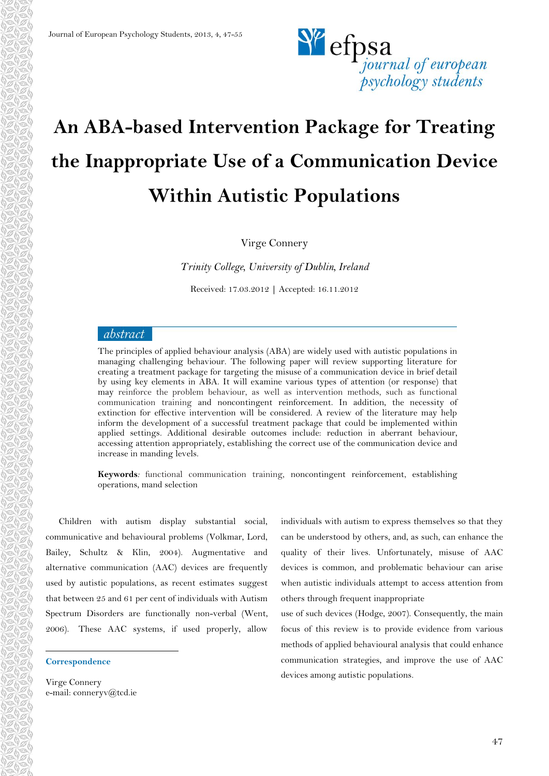

# **An ABA-based Intervention Package for Treating the Inappropriate Use of a Communication Device Within Autistic Populations**

Virge Connery

*Trinity College, University of Dublin, Ireland*

Received: 17.03.2012 **|** Accepted: 16.11.2012

## abstract

The principles of applied behaviour analysis (ABA) are widely used with autistic populations in managing challenging behaviour. The following paper will review supporting literature for creating a treatment package for targeting the misuse of a communication device in brief detail by using key elements in ABA. It will examine various types of attention (or response) that may reinforce the problem behaviour, as well as intervention methods, such as functional communication training and noncontingent reinforcement. In addition, the necessity of extinction for effective intervention will be considered. A review of the literature may help inform the development of a successful treatment package that could be implemented within applied settings. Additional desirable outcomes include: reduction in aberrant behaviour, accessing attention appropriately, establishing the correct use of the communication device and increase in manding levels.

**Keywords***:* functional communication training, noncontingent reinforcement, establishing operations, mand selection

Children with autism display substantial social, communicative and behavioural problems (Volkmar, Lord, Bailey, Schultz & Klin, 2004). Augmentative and alternative communication (AAC) devices are frequently used by autistic populations, as recent estimates suggest that between 25 and 61 per cent of individuals with Autism Spectrum Disorders are functionally non-verbal (Went, 2006). These AAC systems, if used properly, allow

#### **Correspondence**

 $\overline{a}$ 

individuals with autism to express themselves so that they can be understood by others, and, as such, can enhance the quality of their lives. Unfortunately, misuse of AAC devices is common, and problematic behaviour can arise when autistic individuals attempt to access attention from others through frequent inappropriate

use of such devices (Hodge, 2007). Consequently, the main focus of this review is to provide evidence from various methods of applied behavioural analysis that could enhance communication strategies, and improve the use of AAC devices among autistic populations.

Virge Connery e-mail: conneryv@tcd.ie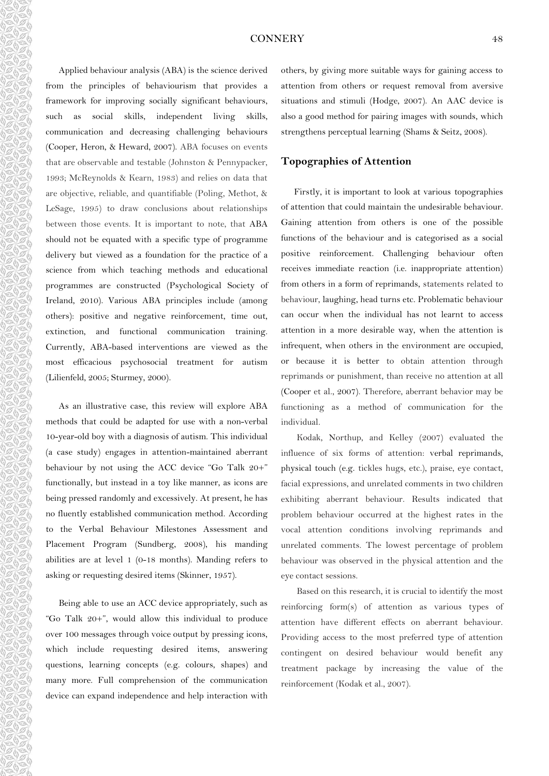## CONNERY 48

Applied behaviour analysis (ABA) is the science derived from the principles of behaviourism that provides a framework for improving socially significant behaviours, such as social skills, independent living skills, communication and decreasing challenging behaviours (Cooper, Heron, & Heward, 2007). ABA focuses on events that are observable and testable (Johnston & Pennypacker, 1993; McReynolds & Kearn, 1983) and relies on data that are objective, reliable, and quantifiable (Poling, Methot, & LeSage, 1995) to draw conclusions about relationships between those events. It is important to note, that ABA should not be equated with a specific type of programme delivery but viewed as a foundation for the practice of a science from which teaching methods and educational programmes are constructed (Psychological Society of Ireland, 2010). Various ABA principles include (among others): positive and negative reinforcement, time out, extinction, and functional communication training. Currently, ABA-based interventions are viewed as the most efficacious psychosocial treatment for autism (Lilienfeld, 2005; Sturmey, 2000).

50500000000000000000000000000000

COMPOSITION

AaAaAa

C

anda a

As an illustrative case, this review will explore ABA methods that could be adapted for use with a non-verbal 10-year-old boy with a diagnosis of autism. This individual (a case study) engages in attention-maintained aberrant behaviour by not using the ACC device "Go Talk 20+" functionally, but instead in a toy like manner, as icons are being pressed randomly and excessively. At present, he has no fluently established communication method. According to the Verbal Behaviour Milestones Assessment and Placement Program (Sundberg, 2008), his manding abilities are at level 1 (0-18 months). Manding refers to asking or requesting desired items (Skinner, 1957).

Being able to use an ACC device appropriately, such as "Go Talk 20+", would allow this individual to produce over 100 messages through voice output by pressing icons, which include requesting desired items, answering questions, learning concepts (e.g. colours, shapes) and many more. Full comprehension of the communication device can expand independence and help interaction with others, by giving more suitable ways for gaining access to attention from others or request removal from aversive situations and stimuli (Hodge, 2007). An AAC device is also a good method for pairing images with sounds, which strengthens perceptual learning (Shams & Seitz, 2008).

## **Topographies of Attention**

Firstly, it is important to look at various topographies of attention that could maintain the undesirable behaviour. Gaining attention from others is one of the possible functions of the behaviour and is categorised as a social positive reinforcement. Challenging behaviour often receives immediate reaction (i.e. inappropriate attention) from others in a form of reprimands, statements related to behaviour, laughing, head turns etc. Problematic behaviour can occur when the individual has not learnt to access attention in a more desirable way, when the attention is infrequent, when others in the environment are occupied, or because it is better to obtain attention through reprimands or punishment, than receive no attention at all (Cooper et al., 2007). Therefore, aberrant behavior may be functioning as a method of communication for the individual.

Kodak, Northup, and Kelley (2007) evaluated the influence of six forms of attention: verbal reprimands, physical touch (e.g. tickles hugs, etc.), praise, eye contact, facial expressions, and unrelated comments in two children exhibiting aberrant behaviour. Results indicated that problem behaviour occurred at the highest rates in the vocal attention conditions involving reprimands and unrelated comments. The lowest percentage of problem behaviour was observed in the physical attention and the eye contact sessions.

Based on this research, it is crucial to identify the most reinforcing form(s) of attention as various types of attention have different effects on aberrant behaviour. Providing access to the most preferred type of attention contingent on desired behaviour would benefit any treatment package by increasing the value of the reinforcement (Kodak et al., 2007).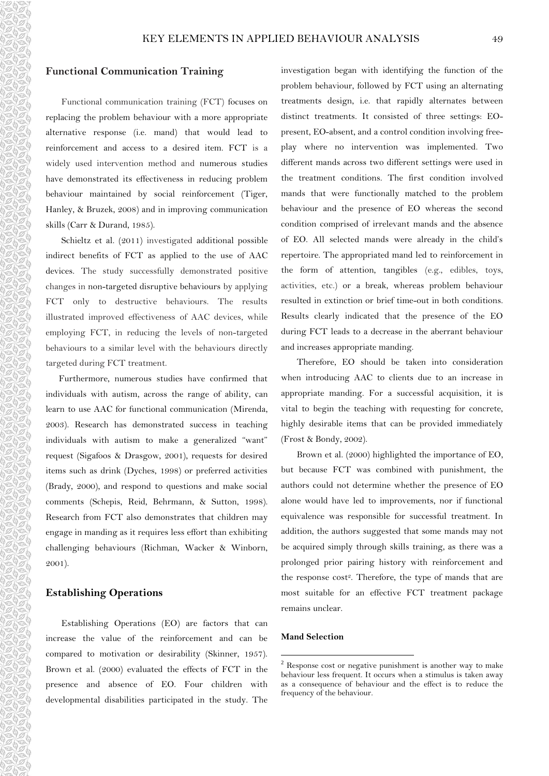## **Functional Communication Training**

Functional communication training (FCT) focuses on replacing the problem behaviour with a more appropriate alternative response (i.e. mand) that would lead to reinforcement and access to a desired item. FCT is a widely used intervention method and numerous studies have demonstrated its effectiveness in reducing problem behaviour maintained by social reinforcement (Tiger, Hanley, & Bruzek, 2008) and in improving communication skills (Carr & Durand, 1985).

Schieltz et al. (2011) investigated additional possible indirect benefits of FCT as applied to the use of AAC devices. The study successfully demonstrated positive changes in non-targeted disruptive behaviours by applying FCT only to destructive behaviours. The results illustrated improved effectiveness of AAC devices, while employing FCT, in reducing the levels of non-targeted behaviours to a similar level with the behaviours directly targeted during FCT treatment.

Furthermore, numerous studies have confirmed that individuals with autism, across the range of ability, can learn to use AAC for functional communication (Mirenda, 2003). Research has demonstrated success in teaching individuals with autism to make a generalized "want" request (Sigafoos & Drasgow, 2001), requests for desired items such as drink (Dyches, 1998) or preferred activities (Brady, 2000), and respond to questions and make social comments (Schepis, Reid, Behrmann, & Sutton, 1998). Research from FCT also demonstrates that children may engage in manding as it requires less effort than exhibiting challenging behaviours (Richman, Wacker & Winborn, 2001).

## **Establishing Operations**

Establishing Operations (EO) are factors that can increase the value of the reinforcement and can be compared to motivation or desirability (Skinner, 1957). Brown et al. (2000) evaluated the effects of FCT in the presence and absence of EO. Four children with developmental disabilities participated in the study. The investigation began with identifying the function of the problem behaviour, followed by FCT using an alternating treatments design, i.e. that rapidly alternates between distinct treatments. It consisted of three settings: EOpresent, EO-absent, and a control condition involving freeplay where no intervention was implemented. Two different mands across two different settings were used in the treatment conditions. The first condition involved mands that were functionally matched to the problem behaviour and the presence of EO whereas the second condition comprised of irrelevant mands and the absence of EO. All selected mands were already in the child's repertoire. The appropriated mand led to reinforcement in the form of attention, tangibles (e.g., edibles, toys, activities, etc.) or a break, whereas problem behaviour resulted in extinction or brief time-out in both conditions. Results clearly indicated that the presence of the EO during FCT leads to a decrease in the aberrant behaviour and increases appropriate manding.

Therefore, EO should be taken into consideration when introducing AAC to clients due to an increase in appropriate manding. For a successful acquisition, it is vital to begin the teaching with requesting for concrete, highly desirable items that can be provided immediately (Frost & Bondy, 2002).

Brown et al. (2000) highlighted the importance of EO, but because FCT was combined with punishment, the authors could not determine whether the presence of EO alone would have led to improvements, nor if functional equivalence was responsible for successful treatment. In addition, the authors suggested that some mands may not be acquired simply through skills training, as there was a prolonged prior pairing history with reinforcement and the response cost<sup>2</sup>. Therefore, the type of mands that are most suitable for an effective FCT treatment package remains unclear.

#### **Mand Selection**

1

 $2$  Response cost or negative punishment is another way to make behaviour less frequent. It occurs when a stimulus is taken away as a consequence of behaviour and the effect is to reduce the frequency of the behaviour.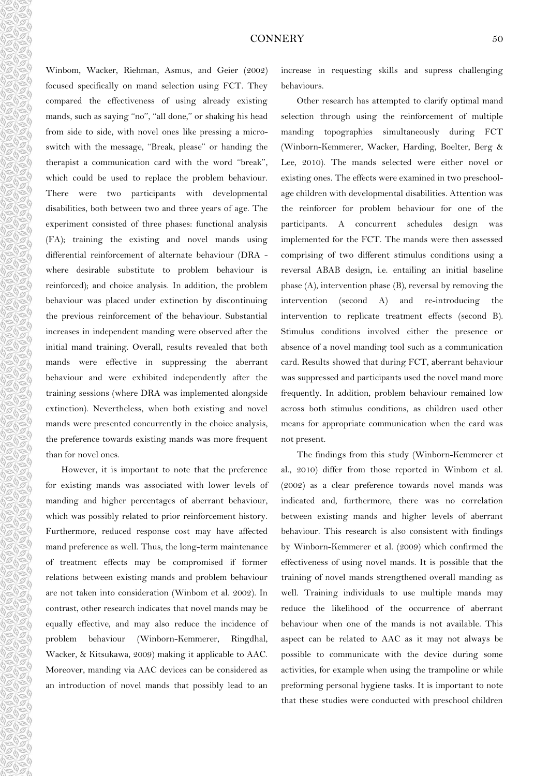## CONNERY 50

Winbom, Wacker, Riehman, Asmus, and Geier (2002) focused specifically on mand selection using FCT. They compared the effectiveness of using already existing mands, such as saying "no", "all done," or shaking his head from side to side, with novel ones like pressing a microswitch with the message, ''Break, please'' or handing the therapist a communication card with the word ''break'', which could be used to replace the problem behaviour. There were two participants with developmental disabilities, both between two and three years of age. The experiment consisted of three phases: functional analysis (FA); training the existing and novel mands using differential reinforcement of alternate behaviour (DRA where desirable substitute to problem behaviour is reinforced); and choice analysis. In addition, the problem behaviour was placed under extinction by discontinuing the previous reinforcement of the behaviour. Substantial increases in independent manding were observed after the initial mand training. Overall, results revealed that both mands were effective in suppressing the aberrant behaviour and were exhibited independently after the training sessions (where DRA was implemented alongside extinction). Nevertheless, when both existing and novel mands were presented concurrently in the choice analysis, the preference towards existing mands was more frequent than for novel ones.

 $\theta \in \theta$  and  $\theta \in \theta$  and  $\theta \in \theta$  and  $\theta \in \theta$  and  $\theta \in \theta$  and  $\theta \in \theta$  and  $\theta \in \theta$  and

 $\eta \otimes \theta \otimes \theta \otimes \theta \otimes \theta$ 

AbaAbaAb

C)

However, it is important to note that the preference for existing mands was associated with lower levels of manding and higher percentages of aberrant behaviour, which was possibly related to prior reinforcement history. Furthermore, reduced response cost may have affected mand preference as well. Thus, the long-term maintenance of treatment effects may be compromised if former relations between existing mands and problem behaviour are not taken into consideration (Winbom et al. 2002). In contrast, other research indicates that novel mands may be equally effective, and may also reduce the incidence of problem behaviour (Winborn-Kemmerer, Ringdhal, Wacker, & Kitsukawa, 2009) making it applicable to AAC. Moreover, manding via AAC devices can be considered as an introduction of novel mands that possibly lead to an increase in requesting skills and supress challenging behaviours.

Other research has attempted to clarify optimal mand selection through using the reinforcement of multiple manding topographies simultaneously during FCT (Winborn-Kemmerer, Wacker, Harding, Boelter, Berg & Lee, 2010). The mands selected were either novel or existing ones. The effects were examined in two preschoolage children with developmental disabilities. Attention was the reinforcer for problem behaviour for one of the participants. A concurrent schedules design was implemented for the FCT. The mands were then assessed comprising of two different stimulus conditions using a reversal ABAB design, i.e. entailing an initial baseline phase (A), intervention phase (B), reversal by removing the intervention (second A) and re-introducing the intervention to replicate treatment effects (second B). Stimulus conditions involved either the presence or absence of a novel manding tool such as a communication card. Results showed that during FCT, aberrant behaviour was suppressed and participants used the novel mand more frequently. In addition, problem behaviour remained low across both stimulus conditions, as children used other means for appropriate communication when the card was not present.

The findings from this study (Winborn-Kemmerer et al., 2010) differ from those reported in Winbom et al. (2002) as a clear preference towards novel mands was indicated and, furthermore, there was no correlation between existing mands and higher levels of aberrant behaviour. This research is also consistent with findings by Winborn-Kemmerer et al. (2009) which confirmed the effectiveness of using novel mands. It is possible that the training of novel mands strengthened overall manding as well. Training individuals to use multiple mands may reduce the likelihood of the occurrence of aberrant behaviour when one of the mands is not available. This aspect can be related to AAC as it may not always be possible to communicate with the device during some activities, for example when using the trampoline or while preforming personal hygiene tasks. It is important to note that these studies were conducted with preschool children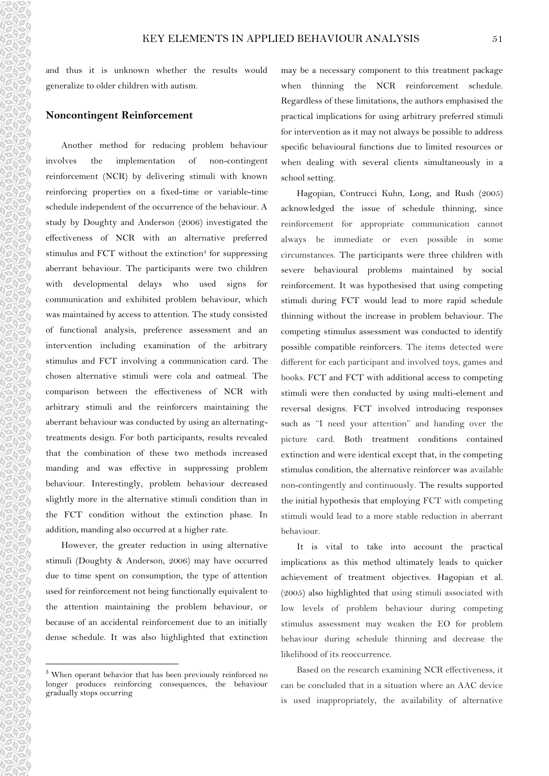and thus it is unknown whether the results would generalize to older children with autism.

## **Noncontingent Reinforcement**

Another method for reducing problem behaviour involves the implementation of non-contingent reinforcement (NCR) by delivering stimuli with known reinforcing properties on a fixed-time or variable-time schedule independent of the occurrence of the behaviour. A study by Doughty and Anderson (2006) investigated the effectiveness of NCR with an alternative preferred stimulus and FCT without the extinction<sup>3</sup> for suppressing aberrant behaviour. The participants were two children with developmental delays who used signs for communication and exhibited problem behaviour, which was maintained by access to attention. The study consisted of functional analysis, preference assessment and an intervention including examination of the arbitrary stimulus and FCT involving a communication card. The chosen alternative stimuli were cola and oatmeal. The comparison between the effectiveness of NCR with arbitrary stimuli and the reinforcers maintaining the aberrant behaviour was conducted by using an alternatingtreatments design. For both participants, results revealed that the combination of these two methods increased manding and was effective in suppressing problem behaviour. Interestingly, problem behaviour decreased slightly more in the alternative stimuli condition than in the FCT condition without the extinction phase. In addition, manding also occurred at a higher rate.

However, the greater reduction in using alternative stimuli (Doughty & Anderson, 2006) may have occurred due to time spent on consumption, the type of attention used for reinforcement not being functionally equivalent to the attention maintaining the problem behaviour, or because of an accidental reinforcement due to an initially dense schedule. It was also highlighted that extinction

 $\overline{a}$ 

may be a necessary component to this treatment package when thinning the NCR reinforcement schedule. Regardless of these limitations, the authors emphasised the practical implications for using arbitrary preferred stimuli for intervention as it may not always be possible to address specific behavioural functions due to limited resources or when dealing with several clients simultaneously in a school setting.

Hagopian, Contrucci Kuhn, Long, and Rush (2005) acknowledged the issue of schedule thinning, since reinforcement for appropriate communication cannot always be immediate or even possible in some circumstances. The participants were three children with severe behavioural problems maintained by social reinforcement. It was hypothesised that using competing stimuli during FCT would lead to more rapid schedule thinning without the increase in problem behaviour. The competing stimulus assessment was conducted to identify possible compatible reinforcers. The items detected were different for each participant and involved toys, games and books. FCT and FCT with additional access to competing stimuli were then conducted by using multi-element and reversal designs. FCT involved introducing responses such as ''I need your attention'' and handing over the picture card. Both treatment conditions contained extinction and were identical except that, in the competing stimulus condition, the alternative reinforcer was available non-contingently and continuously. The results supported the initial hypothesis that employing FCT with competing stimuli would lead to a more stable reduction in aberrant behaviour.

It is vital to take into account the practical implications as this method ultimately leads to quicker achievement of treatment objectives. Hagopian et al. (2005) also highlighted that using stimuli associated with low levels of problem behaviour during competing stimulus assessment may weaken the EO for problem behaviour during schedule thinning and decrease the likelihood of its reoccurrence.

Based on the research examining NCR effectiveness, it can be concluded that in a situation where an AAC device is used inappropriately, the availability of alternative

<sup>&</sup>lt;sup>3</sup> When operant behavior that has been previously reinforced no longer produces reinforcing consequences, the behaviour gradually stops occurring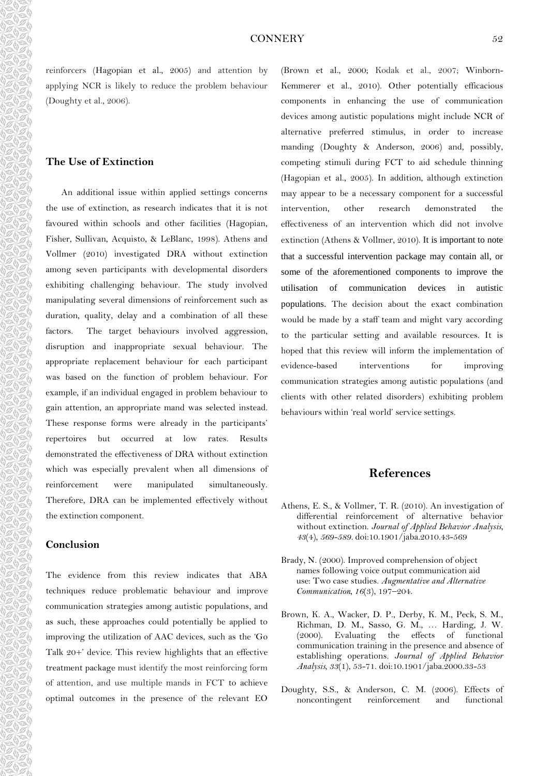reinforcers (Hagopian et al., 2005) and attention by applying NCR is likely to reduce the problem behaviour (Doughty et al., 2006).

## **The Use of Extinction**

An additional issue within applied settings concerns the use of extinction, as research indicates that it is not favoured within schools and other facilities (Hagopian, Fisher, Sullivan, Acquisto, & LeBlanc, 1998). Athens and Vollmer (2010) investigated DRA without extinction among seven participants with developmental disorders exhibiting challenging behaviour. The study involved manipulating several dimensions of reinforcement such as duration, quality, delay and a combination of all these factors. The target behaviours involved aggression, disruption and inappropriate sexual behaviour. The appropriate replacement behaviour for each participant was based on the function of problem behaviour. For example, if an individual engaged in problem behaviour to gain attention, an appropriate mand was selected instead. These response forms were already in the participants' repertoires but occurred at low rates. Results demonstrated the effectiveness of DRA without extinction which was especially prevalent when all dimensions of reinforcement were manipulated simultaneously. Therefore, DRA can be implemented effectively without the extinction component.

## **Conclusion**

The evidence from this review indicates that ABA techniques reduce problematic behaviour and improve communication strategies among autistic populations, and as such, these approaches could potentially be applied to improving the utilization of AAC devices, such as the 'Go Talk 20+' device. This review highlights that an effective treatment package must identify the most reinforcing form of attention, and use multiple mands in FCT to achieve optimal outcomes in the presence of the relevant EO (Brown et al., 2000; Kodak et al., 2007; Winborn-Kemmerer et al., 2010). Other potentially efficacious components in enhancing the use of communication devices among autistic populations might include NCR of alternative preferred stimulus, in order to increase manding (Doughty & Anderson, 2006) and, possibly, competing stimuli during FCT to aid schedule thinning (Hagopian et al., 2005). In addition, although extinction may appear to be a necessary component for a successful intervention, other research demonstrated the effectiveness of an intervention which did not involve extinction (Athens & Vollmer, 2010). It is important to note that a successful intervention package may contain all, or some of the aforementioned components to improve the utilisation of communication devices in autistic populations. The decision about the exact combination would be made by a staff team and might vary according to the particular setting and available resources. It is hoped that this review will inform the implementation of evidence-based interventions for improving communication strategies among autistic populations (and clients with other related disorders) exhibiting problem behaviours within 'real world' service settings.

# **References**

- Athens, E. S., & Vollmer, T. R. (2010). An investigation of differential reinforcement of alternative behavior without extinction. *Journal of Applied Behavior Analysis, 43*(4), *569-589.* doi:10.1901/jaba.2010.43-569
- Brady, N. (2000). Improved comprehension of object names following voice output communication aid use: Two case studies. *Augmentative and Alternative Communication, 16*(3), 197–204.
- Brown, K. A., Wacker, D. P., Derby, K. M., Peck, S. M., Richman, D. M., Sasso, G. M., … Harding, J. W. (2000). Evaluating the effects of functional communication training in the presence and absence of establishing operations. *Journal of Applied Behavior Analysis, 33*(1), 53-71. doi:10.1901/jaba.2000.33-53
- Doughty, S.S., & Anderson, C. M. (2006). Effects of noncontingent reinforcement and functional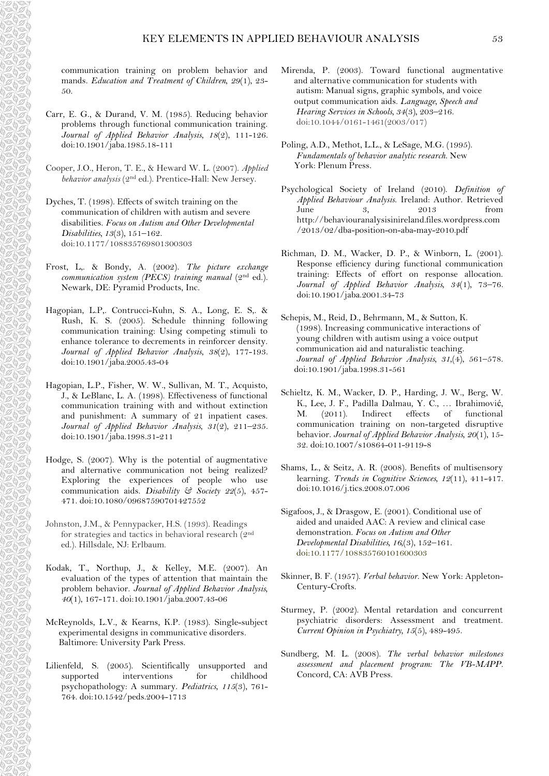communication training on problem behavior and mands. *Education and Treatment of Children, 29*(1), 23- 50.

- Carr, E. G., & Durand, V. M. (1985). Reducing behavior problems through functional communication training. *Journal of Applied Behavior Analysis, 18*(2), 111-126. doi:10.1901/jaba.1985.18-111
- Cooper, J.O., Heron, T. E., & Heward W. L. (2007). *Applied behavior analysis* (2nd ed.). Prentice-Hall: New Jersey.
- Dyches, T. (1998). Effects of switch training on the communication of children with autism and severe disabilities. *Focus on Autism and Other Developmental Disabilities, 13*(3)*,* 151–162. doi:10.1177/108835769801300303
- Frost, L,. & Bondy, A. (2002). *The picture exchange communication system (PECS) training manual* (2<sup>nd</sup> ed.). Newark, DE: Pyramid Products, Inc.
- Hagopian, L.P,. Contrucci-Kuhn, S. A., Long, E. S,. & Rush, K. S. (2005). Schedule thinning following communication training: Using competing stimuli to enhance tolerance to decrements in reinforcer density. *Journal of Applied Behavior Analysis, 38*(2), 177-193. doi:10.1901/jaba.2005.43-04
- Hagopian, L.P., Fisher, W. W., Sullivan, M. T., Acquisto, J., & LeBlanc, L. A. (1998). Effectiveness of functional communication training with and without extinction and punishment: A summary of 21 inpatient cases. *Journal of Applied Behavior Analysis, 31*(2), 211–235. doi:10.1901/jaba.1998.31-211
- Hodge, S. (2007). Why is the potential of augmentative and alternative communication not being realized? Exploring the experiences of people who use communication aids. *Disability & Society 22*(5), 457- 471. doi:10.1080/09687590701427552
- Johnston, J.M., & Pennypacker, H.S. (1993). Readings for strategies and tactics in behavioral research (2nd ed.). Hillsdale, NJ: Erlbaum.
- Kodak, T., Northup, J., & Kelley, M.E. (2007). An evaluation of the types of attention that maintain the problem behavior. *Journal of Applied Behavior Analysis, 40*(1), 167-171. doi:10.1901/jaba.2007.43-06
- McReynolds, L.V., & Kearns, K.P. (1983). Single-subject experimental designs in communicative disorders. Baltimore: University Park Press.
- Lilienfeld, S. (2005). Scientifically unsupported and supported interventions for childhood psychopathology: A summary. *Pediatrics*, *115*(3), 761- 764. doi:10.1542/peds.2004-1713
- Mirenda, P. (2003). Toward functional augmentative and alternative communication for students with autism: Manual signs, graphic symbols, and voice output communication aids. *Language, Speech and Hearing Services in Schools, 34*(3)*,* 203–216. doi:10.1044/0161-1461(2003/017)
- Poling, A.D., Methot, L.L., & LeSage, M.G. (1995). *Fundamentals of behavior analytic research*. New York: Plenum Press.
- Psychological Society of Ireland (2010). *Definition of Applied Behaviour Analysis*. Ireland: Author. Retrieved June 3, 2013 from http://behaviouranalysisinireland.files.wordpress.com /2013/02/dba-position-on-aba-may-2010.pdf
- Richman, D. M., Wacker, D. P., & Winborn, L. (2001). Response efficiency during functional communication training: Effects of effort on response allocation. *Journal of Applied Behavior Analysis, 34*(1)*,* 73–76. doi:10.1901/jaba.2001.34-73
- Schepis, M., Reid, D., Behrmann, M., & Sutton, K. (1998). Increasing communicative interactions of young children with autism using a voice output communication aid and naturalistic teaching. *Journal of Applied Behavior Analysis, 31,*(4), 561–578. doi:10.1901/jaba.1998.31-561
- Schieltz, K. M., Wacker, D. P., Harding, J. W., Berg, W. K., Lee, J. F., Padilla Dalmau, Y. C., … Ibrahimović, M. (2011). Indirect effects of functional communication training on non-targeted disruptive behavior. *Journal of Applied Behavior Analysis, 20*(1), 15- 32. doi:10.1007/s10864-011-9119-8
- Shams, L., & Seitz, A. R. (2008). Benefits of multisensory learning. *Trends in Cognitive Sciences, 12*(11), 411-417. doi:10.1016/j.tics.2008.07.006
- Sigafoos, J., & Drasgow, E. (2001). Conditional use of aided and unaided AAC: A review and clinical case demonstration. *Focus on Autism and Other Developmental Disabilities, 16,*(3), 152–161. doi:10.1177/108835760101600303
- Skinner, B. F. (1957). *Verbal behavior*. New York: Appleton-Century-Crofts.
- Sturmey, P. (2002). Mental retardation and concurrent psychiatric disorders: Assessment and treatment. *Current Opinion in Psychiatry, 15*(5), 489-495.
- Sundberg, M. L. (2008). *The verbal behavior milestones assessment and placement program: The VB-MAPP.* Concord, CA: AVB Press.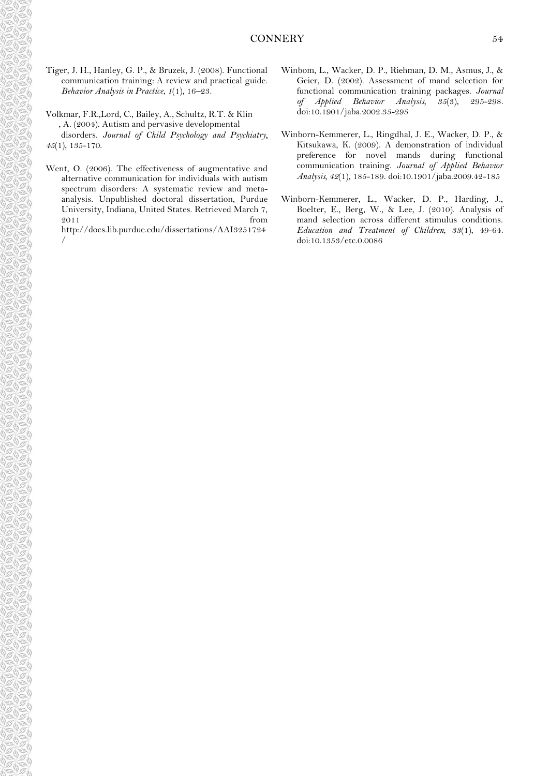Tiger, J. H., Hanley, G. P., & Bruzek, J. (2008). Functional communication training: A review and practical guide. *Behavior Analysis in Practice*, *1*(1), 16–23.

Volkmar, F.R.,Lord, C., Bailey, A., Schultz, R.T. & Klin , A. (2004). Autism and pervasive developmental disorders. *Journal of Child Psychology and Psychiatry, 45*(1), 135-170.

Went, O. (2006). The effectiveness of augmentative and alternative communication for individuals with autism spectrum disorders: A systematic review and metaanalysis. Unpublished doctoral dissertation, Purdue University, Indiana, United States. Retrieved March 7, 2011 from

http://docs.lib.purdue.edu/dissertations/AAI3251724 /

- Winbom, L., Wacker, D. P., Riehman, D. M., Asmus, J., & Geier, D. (2002). Assessment of mand selection for functional communication training packages. *Journal of Applied Behavior Analysis, 35*(3), 295-298. doi:10.1901/jaba.2002.35-295
- Winborn-Kemmerer, L., Ringdhal, J. E., Wacker, D. P., & Kitsukawa, K. (2009). A demonstration of individual preference for novel mands during functional communication training. *Journal of Applied Behavior Analysis, 42*(1), 185-189. doi:10.1901/jaba.2009.42-185
- Winborn-Kemmerer, L., Wacker, D. P., Harding, J., Boelter, E., Berg, W., & Lee, J. (2010). Analysis of mand selection across different stimulus conditions. *Education and Treatment of Children, 33*(1), 49-64. doi:10.1353/etc.0.0086